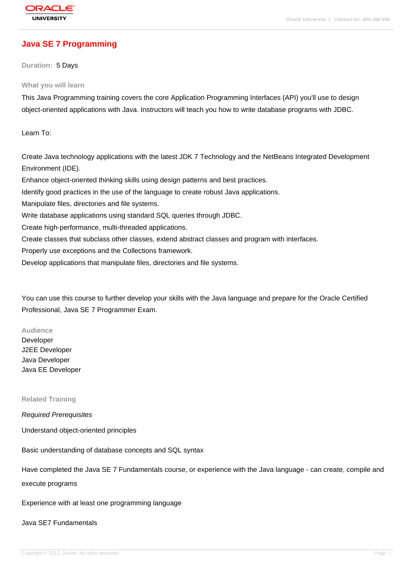# **[Java SE 7 Prog](http://education.oracle.com/pls/web_prod-plq-dad/db_pages.getpage?page_id=3)ramming**

**Duration:** 5 Days

#### **What you will learn**

This Java Programming training covers the core Application Programming Interfaces (API) you'll use to design object-oriented applications with Java. Instructors will teach you how to write database programs with JDBC.

Learn To:

Create Java technology applications with the latest JDK 7 Technology and the NetBeans Integrated Development Environment (IDE). Enhance object-oriented thinking skills using design patterns and best practices. Identify good practices in the use of the language to create robust Java applications. Manipulate files, directories and file systems. Write database applications using standard SQL queries through JDBC. Create high-performance, multi-threaded applications. Create classes that subclass other classes, extend abstract classes and program with interfaces. Properly use exceptions and the Collections framework.

Develop applications that manipulate files, directories and file systems.

You can use this course to further develop your skills with the Java language and prepare for the Oracle Certified Professional, Java SE 7 Programmer Exam.

#### **Audience**

Developer J2EE Developer Java Developer Java EE Developer

**Related Training**

Required Prerequisites

Understand object-oriented principles

Basic understanding of database concepts and SQL syntax

Have completed the Java SE 7 Fundamentals course, or experience with the Java language - can create, compile and execute programs

Experience with at least one programming language

#### Java SE7 Fundamentals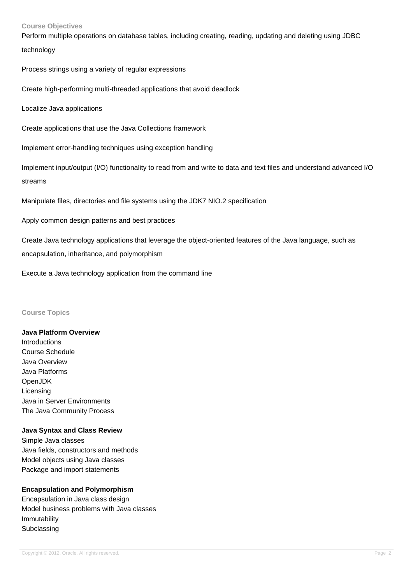#### **Course Objectives**

Perform multiple operations on database tables, including creating, reading, updating and deleting using JDBC technology

Process strings using a variety of regular expressions

Create high-performing multi-threaded applications that avoid deadlock

Localize Java applications

Create applications that use the Java Collections framework

Implement error-handling techniques using exception handling

Implement input/output (I/O) functionality to read from and write to data and text files and understand advanced I/O streams

Manipulate files, directories and file systems using the JDK7 NIO.2 specification

Apply common design patterns and best practices

Create Java technology applications that leverage the object-oriented features of the Java language, such as

encapsulation, inheritance, and polymorphism

Execute a Java technology application from the command line

#### **Course Topics**

**Java Platform Overview** Introductions Course Schedule Java Overview Java Platforms OpenJDK Licensing Java in Server Environments The Java Community Process

### **Java Syntax and Class Review**

Simple Java classes Java fields, constructors and methods Model objects using Java classes Package and import statements

### **Encapsulation and Polymorphism**

Encapsulation in Java class design Model business problems with Java classes Immutability **Subclassing**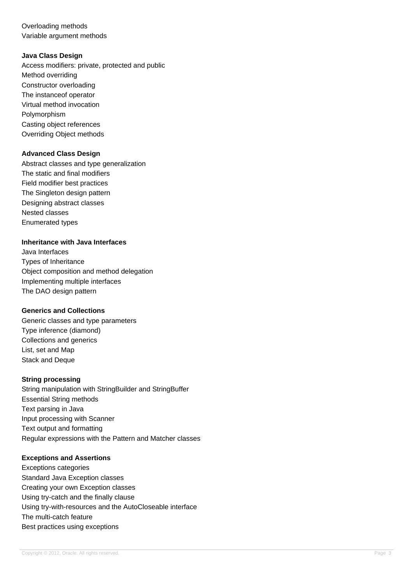Overloading methods Variable argument methods

### **Java Class Design**

Access modifiers: private, protected and public Method overriding Constructor overloading The instanceof operator Virtual method invocation Polymorphism Casting object references Overriding Object methods

### **Advanced Class Design**

Abstract classes and type generalization The static and final modifiers Field modifier best practices The Singleton design pattern Designing abstract classes Nested classes Enumerated types

## **Inheritance with Java Interfaces**

Java Interfaces Types of Inheritance Object composition and method delegation Implementing multiple interfaces The DAO design pattern

### **Generics and Collections**

Generic classes and type parameters Type inference (diamond) Collections and generics List, set and Map Stack and Deque

### **String processing**

String manipulation with StringBuilder and StringBuffer Essential String methods Text parsing in Java Input processing with Scanner Text output and formatting Regular expressions with the Pattern and Matcher classes

### **Exceptions and Assertions**

Exceptions categories Standard Java Exception classes Creating your own Exception classes Using try-catch and the finally clause Using try-with-resources and the AutoCloseable interface The multi-catch feature Best practices using exceptions